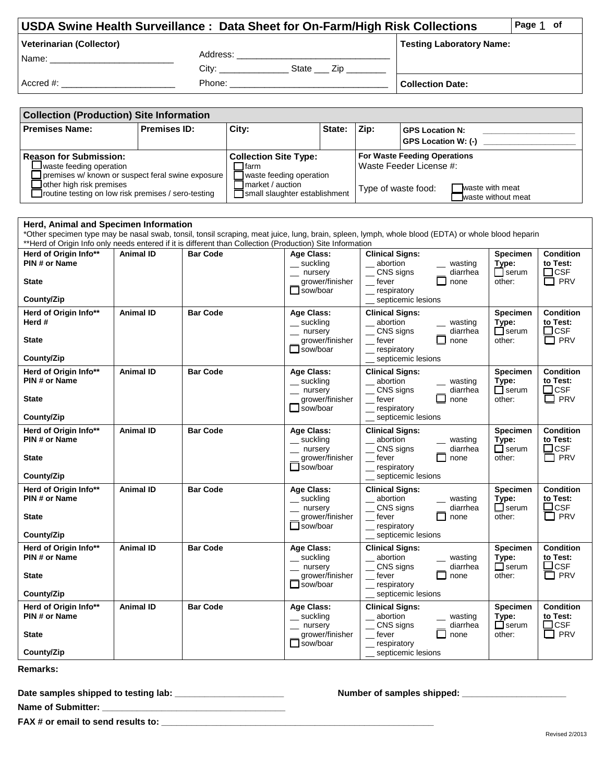| USDA Swine Health Surveillance: Data Sheet for On-Farm/High Risk Collections |          |              |  |                                 | Page 1 of |  |
|------------------------------------------------------------------------------|----------|--------------|--|---------------------------------|-----------|--|
| <b>Veterinarian (Collector)</b>                                              |          |              |  | <b>Testing Laboratory Name:</b> |           |  |
| Name:                                                                        | Address: |              |  |                                 |           |  |
|                                                                              | City:    | State<br>Zip |  |                                 |           |  |
| Accred #:                                                                    | Phone:   |              |  | <b>Collection Date:</b>         |           |  |

| <b>Collection (Production) Site Information</b>                                                                                        |                     |                                                                               |        |                                     |                                                      |  |
|----------------------------------------------------------------------------------------------------------------------------------------|---------------------|-------------------------------------------------------------------------------|--------|-------------------------------------|------------------------------------------------------|--|
| <b>Premises Name:</b>                                                                                                                  | <b>Premises ID:</b> | City:                                                                         | State: | Zip:                                | <b>GPS Location N:</b><br><b>GPS Location W: (-)</b> |  |
| <b>Reason for Submission:</b>                                                                                                          |                     | <b>Collection Site Type:</b>                                                  |        | <b>For Waste Feeding Operations</b> |                                                      |  |
| Jwaste feeding operation                                                                                                               |                     | $\sqcap$ farm                                                                 |        | l Waste Feeder License #:           |                                                      |  |
| Jpremises w/ known or suspect feral swine exposure<br>other high risk premises<br>Troutine testing on low risk premises / sero-testing |                     | waste feeding operation<br>Tmarket / auction<br>Small slaughter establishment |        | Type of waste food:                 | waste with meat<br>waste without meat                |  |

| Herd, Animal and Specimen Information                                                                                                                                                                                                                           |                  |                 |                                                                                           |                                                                                                                                                     |                                                    |                                                             |  |  |
|-----------------------------------------------------------------------------------------------------------------------------------------------------------------------------------------------------------------------------------------------------------------|------------------|-----------------|-------------------------------------------------------------------------------------------|-----------------------------------------------------------------------------------------------------------------------------------------------------|----------------------------------------------------|-------------------------------------------------------------|--|--|
| *Other specimen type may be nasal swab, tonsil, tonsil scraping, meat juice, lung, brain, spleen, lymph, whole blood (EDTA) or whole blood heparin<br>**Herd of Origin Info only needs entered if it is different than Collection (Production) Site Information |                  |                 |                                                                                           |                                                                                                                                                     |                                                    |                                                             |  |  |
| Herd of Origin Info**<br>PIN # or Name<br><b>State</b><br>County/Zip                                                                                                                                                                                            | <b>Animal ID</b> | <b>Bar Code</b> | <b>Age Class:</b><br>_ suckling<br>$-$ nursery<br>grower/finisher<br>$\Box$ sow/boar      | <b>Clinical Signs:</b><br>abortion<br>wasting<br>CNS signs<br>diarrhea<br>U<br>$_{\rm{}}$ fever<br>none<br>respiratory<br>septicemic lesions        | <b>Specimen</b><br>Type:<br>$\Box$ serum<br>other: | <b>Condition</b><br>to Test:<br>$\Box$ CSF<br>$\square$ PRV |  |  |
| Herd of Origin Info**<br>Herd #<br><b>State</b><br>County/Zip                                                                                                                                                                                                   | <b>Animal ID</b> | <b>Bar Code</b> | Age Class:<br>_ suckling<br>$-$ nursery<br>grower/finisher<br>$\Box$ sow/boar             | <b>Clinical Signs:</b><br>abortion<br>wasting<br>CNS signs<br>diarrhea<br>fever<br>none<br>_ respiratory<br>septicemic lesions                      | <b>Specimen</b><br>Type:<br>$\Box$ serum<br>other: | <b>Condition</b><br>to Test:<br>$\Box$ CSF<br>$\Box$ PRV    |  |  |
| Herd of Origin Info**<br>PIN # or Name<br><b>State</b><br>County/Zip                                                                                                                                                                                            | <b>Animal ID</b> | <b>Bar Code</b> | Age Class:<br>_suckling<br>$-$ nursery<br>grower/finisher<br>$\Box$ sow/boar              | <b>Clinical Signs:</b><br>abortion<br>wasting<br>CNS signs<br>diarrhea<br>fever<br>none<br>_ respiratory<br>septicemic lesions                      | <b>Specimen</b><br>Type:<br>$\Box$ serum<br>other: | <b>Condition</b><br>to Test:<br>$\square$ CSF<br>$\Box$ PRV |  |  |
| Herd of Origin Info**<br>PIN # or Name<br><b>State</b><br>County/Zip                                                                                                                                                                                            | <b>Animal ID</b> | <b>Bar Code</b> | Age Class:<br>$\equiv$ suckling<br>$\equiv$ nursery<br>grower/finisher<br>□ sow/boar      | <b>Clinical Signs:</b><br>abortion<br>wasting<br>_CNS signs<br>diarrhea<br>$r$ fever<br>$\mathsf{L}$<br>none<br>_ respiratory<br>septicemic lesions | Specimen<br>Type:<br>$\Box$ serum<br>other:        | <b>Condition</b><br>to Test:<br>$\Box$ CSF<br>$\Box$ PRV    |  |  |
| Herd of Origin Info**<br>PIN # or Name<br><b>State</b><br>County/Zip                                                                                                                                                                                            | <b>Animal ID</b> | <b>Bar Code</b> | Age Class:<br>$\equiv$ suckling<br>$\equiv$ nursery<br>grower/finisher<br>$\Box$ sow/boar | <b>Clinical Signs:</b><br>abortion<br>_ wasting<br>CNS signs<br>diarrhea<br>$_{\rm{}}$ fever<br>ப<br>none<br>respiratory<br>septicemic lesions      | <b>Specimen</b><br>Type:<br>$\Box$ serum<br>other: | <b>Condition</b><br>to Test:<br>$\Box$ CSF<br>$\Box$ PRV    |  |  |
| Herd of Origin Info**<br>PIN # or Name<br><b>State</b><br>County/Zip                                                                                                                                                                                            | <b>Animal ID</b> | <b>Bar Code</b> | Age Class:<br>$\equiv$ suckling<br>$\equiv$ nursery<br>grower/finisher<br>$\Box$ sow/boar | <b>Clinical Signs:</b><br>abortion<br>_ wasting<br>CNS signs<br>diarrhea<br>П<br>$r$ fever<br>none<br>respiratory<br>septicemic lesions             | <b>Specimen</b><br>Type:<br>$\Box$ serum<br>other: | <b>Condition</b><br>to Test:<br>$\Box$ CSF<br>$\Box$ PRV    |  |  |
| Herd of Origin Info**<br>PIN# or Name<br><b>State</b><br>County/Zip                                                                                                                                                                                             | <b>Animal ID</b> | <b>Bar Code</b> | Age Class:<br>_ suckling<br>$-$ nursery<br>grower/finisher<br>$\Box$ sow/boar             | <b>Clinical Signs:</b><br>abortion<br>_ wasting<br>CNS signs<br>diarrhea<br>□<br>$_{\rm{__}}$ fever<br>none<br>respiratory<br>septicemic lesions    | <b>Specimen</b><br>Type:<br>$\Box$ serum<br>other: | <b>Condition</b><br>to Test:<br>$\Box$ CSF<br>$\square$ PRV |  |  |

**Remarks:** 

**Date samples shipped to testing lab: \_\_\_\_\_\_\_\_\_\_\_\_\_\_\_\_\_\_\_\_\_\_ Number of samples shipped: \_\_\_\_\_\_\_\_\_\_\_\_\_\_\_\_\_\_\_\_\_**

**Name of Submitter: \_\_\_\_\_\_\_\_\_\_\_\_\_\_\_\_\_\_\_\_\_\_\_\_\_\_\_\_\_\_\_\_\_\_\_\_\_** 

**FAX # or email to send results to: \_\_\_\_\_\_\_\_\_\_\_\_\_\_\_\_\_\_\_\_\_\_\_\_\_\_\_\_\_\_\_\_\_\_\_\_\_\_\_\_\_\_\_\_\_\_\_\_\_\_\_\_\_\_\_**